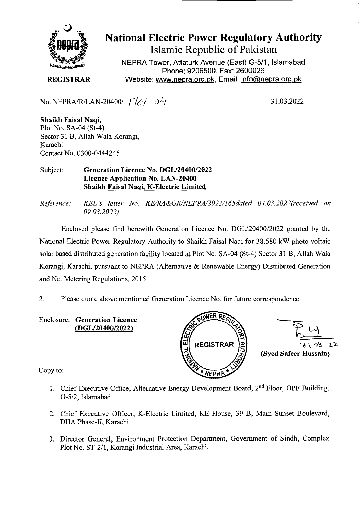

National Electric Power Regulatory Authority Islamic Republic of Pakistan

NEPRA Tower, Attaturk Avenue (East) G-5/1, Islamabad Phone: 9206500, Fax: 2600026 **REGISTRAR Website: www.nepra.org.pk, Email: info@nepra.org.pk** 

No. NEPRA/R/LAN-20400/  $17c/-04$ 

31.03.2022

**Shaikh Faisal Naqi,**  Plot No. SA-04 (St-4) Sector 31 B, Allah Wala Korangi, Karachi. Contact No. 03 *00-0444245* 

Subject: **Generation** Licence No. *DGL12040012022*  **Licence Application No.** LAN-20400 **Shaikh Faisal Naqi, K-Electric Limited** 

*Reference: KEL 's letter No. KE/RA&GR/NEPRA/2022/165dated 04. 03.2022(received on 09.03.2022).* 

Enclosed please find herewith Generation Licence No. DGL/20400/2022 granted by the National Electric Power Regulatory Authority to Shaikh Faisal Naqi for 38.580 kW photo voltaic solar based distributed generation facility located at Plot No. SA-04 (St-4) Sector 31 B, Allah Wala Korangi, Karachi, pursuant to NEPRA (Alternative & Renewable Energy) Distributed Generation and Net Metering Regulations, 2015.

2. Please quote above mentioned Generation Licence No. for future correspondence.

Enclosure: **Generation Licence**  *(DGLI2O400/2022)* 





Copy to:

- 1. Chief Executive Office, Alternative Energy Development Board, 2<sup>nd</sup> Floor, OPF Building, *G-5/2,* Islamabad.
- 2. Chief Executive Officer, K-Electric Limited, KE House, 39 B, Main Sunset Boulevard, DHA Phase-Il, Karachi.
- 3. Director General, Environment Protection Department, Government of Sindh, Complex Plot No. ST-2/1, Korangi Industrial Area, Karachi